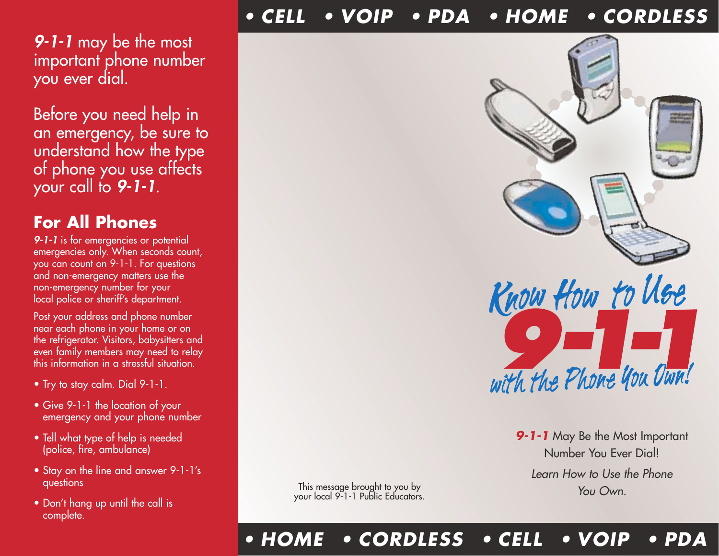#### *• CELL • VOIP • PDA • HOME • CORDLESS*

*9-1-1* may be the most important phone number you ever dial.

Before you need help in an emergency, be sure to understand how the type of phone you use affects your call to *9-1-1*.

### **For All Phones**

*9-1-1* is for emergencies or potential emergencies only. When seconds count, you can count on 9-1-1. For questions and non-emergency matters use the non-emergency number for your local police or sheriff's department.

Post your address and phone number near each phone in your home or on the refrigerator. Visitors, babysitters and even family members may need to relay this information in a stressful situation.

- Try to stay calm. Dial 9-1-1.
- Give 9-1-1 the location of your emergency and your phone number
- Tell what type of help is needed (police, fire, ambulance)
- Stay on the line and answer 9-1-1's questions
- Don't hang up until the call is complete.

This message brought to you by your local 9-1-1 Public Educators.



*9-1-1* May Be the Most Important Number You Ever Dial! *Learn How to Use the Phone You Own.*

#### *• HOME • CORDLESS • CELL • VOIP • PDA*